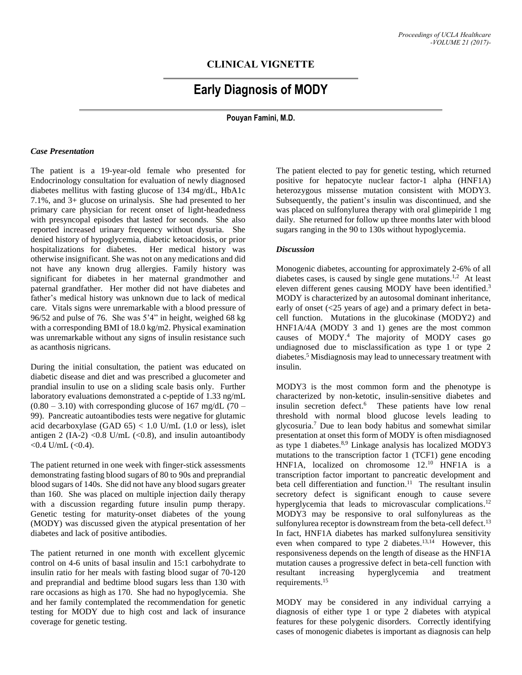## **CLINICAL VIGNETTE**

# **Early Diagnosis of MODY**

**Pouyan Famini, M.D.**

#### *Case Presentation*

The patient is a 19-year-old female who presented for Endocrinology consultation for evaluation of newly diagnosed diabetes mellitus with fasting glucose of 134 mg/dL, HbA1c 7.1%, and 3+ glucose on urinalysis. She had presented to her primary care physician for recent onset of light-headedness with presyncopal episodes that lasted for seconds. She also reported increased urinary frequency without dysuria. She denied history of hypoglycemia, diabetic ketoacidosis, or prior hospitalizations for diabetes. Her medical history was otherwise insignificant. She was not on any medications and did not have any known drug allergies. Family history was significant for diabetes in her maternal grandmother and paternal grandfather. Her mother did not have diabetes and father's medical history was unknown due to lack of medical care. Vitals signs were unremarkable with a blood pressure of 96/52 and pulse of 76. She was 5'4" in height, weighed 68 kg with a corresponding BMI of 18.0 kg/m2. Physical examination was unremarkable without any signs of insulin resistance such as acanthosis nigricans.

During the initial consultation, the patient was educated on diabetic disease and diet and was prescribed a glucometer and prandial insulin to use on a sliding scale basis only. Further laboratory evaluations demonstrated a c-peptide of 1.33 ng/mL  $(0.80 - 3.10)$  with corresponding glucose of 167 mg/dL (70 – 99). Pancreatic autoantibodies tests were negative for glutamic acid decarboxylase (GAD  $65$ ) < 1.0 U/mL (1.0 or less), islet antigen 2 (IA-2) < 0.8 U/mL (< 0.8), and insulin autoantibody  $<$  0.4 U/mL  $(<$  0.4).

The patient returned in one week with finger-stick assessments demonstrating fasting blood sugars of 80 to 90s and preprandial blood sugars of 140s. She did not have any blood sugars greater than 160. She was placed on multiple injection daily therapy with a discussion regarding future insulin pump therapy. Genetic testing for maturity-onset diabetes of the young (MODY) was discussed given the atypical presentation of her diabetes and lack of positive antibodies.

The patient returned in one month with excellent glycemic control on 4-6 units of basal insulin and 15:1 carbohydrate to insulin ratio for her meals with fasting blood sugar of 70-120 and preprandial and bedtime blood sugars less than 130 with rare occasions as high as 170. She had no hypoglycemia. She and her family contemplated the recommendation for genetic testing for MODY due to high cost and lack of insurance coverage for genetic testing.

The patient elected to pay for genetic testing, which returned positive for hepatocyte nuclear factor-1 alpha (HNF1A) heterozygous missense mutation consistent with MODY3. Subsequently, the patient's insulin was discontinued, and she was placed on sulfonylurea therapy with oral glimepiride 1 mg daily. She returned for follow up three months later with blood sugars ranging in the 90 to 130s without hypoglycemia.

#### *Discussion*

Monogenic diabetes, accounting for approximately 2-6% of all diabetes cases, is caused by single gene mutations.<sup>1,2</sup> At least eleven different genes causing MODY have been identified. 3 MODY is characterized by an autosomal dominant inheritance, early of onset (<25 years of age) and a primary defect in betacell function. Mutations in the glucokinase (MODY2) and HNF1A/4A (MODY 3 and 1) genes are the most common causes of MODY. <sup>4</sup> The majority of MODY cases go undiagnosed due to misclassification as type 1 or type 2 diabetes. <sup>5</sup> Misdiagnosis may lead to unnecessary treatment with insulin.

MODY3 is the most common form and the phenotype is characterized by non-ketotic, insulin-sensitive diabetes and insulin secretion defect. 6 These patients have low renal threshold with normal blood glucose levels leading to glycosuria. <sup>7</sup> Due to lean body habitus and somewhat similar presentation at onset this form of MODY is often misdiagnosed as type 1 diabetes. 8,9 Linkage analysis has localized MODY3 mutations to the transcription factor 1 (TCF1) gene encoding HNF1A, localized on chromosome 12. <sup>10</sup> HNF1A is a transcription factor important to pancreatic development and beta cell differentiation and function.<sup>11</sup> The resultant insulin secretory defect is significant enough to cause severe hyperglycemia that leads to microvascular complications.<sup>12</sup> MODY3 may be responsive to oral sulfonylureas as the sulfonylurea receptor is downstream from the beta-cell defect.<sup>13</sup> In fact, HNF1A diabetes has marked sulfonylurea sensitivity even when compared to type 2 diabetes.<sup>13,14</sup> However, this responsiveness depends on the length of disease as the HNF1A mutation causes a progressive defect in beta-cell function with resultant increasing hyperglycemia and treatment requirements. 15

MODY may be considered in any individual carrying a diagnosis of either type 1 or type 2 diabetes with atypical features for these polygenic disorders. Correctly identifying cases of monogenic diabetes is important as diagnosis can help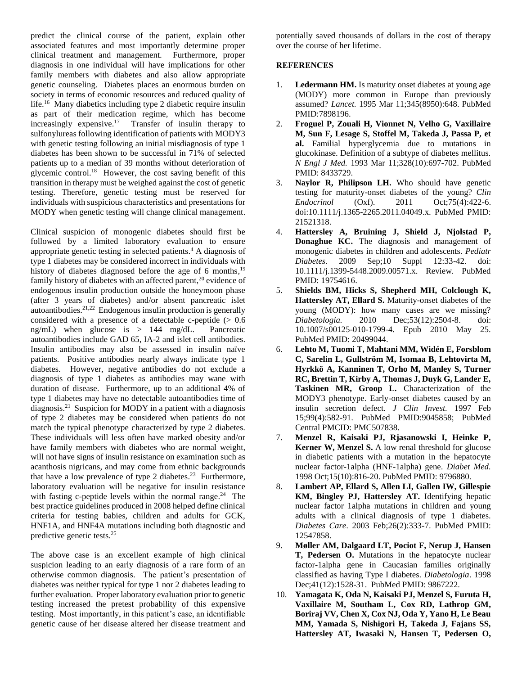predict the clinical course of the patient, explain other associated features and most importantly determine proper clinical treatment and management. Furthermore, proper diagnosis in one individual will have implications for other family members with diabetes and also allow appropriate genetic counseling. Diabetes places an enormous burden on society in terms of economic resources and reduced quality of life.<sup>16</sup> Many diabetics including type 2 diabetic require insulin as part of their medication regime, which has become increasingly expensive. 17 Transfer of insulin therapy to sulfonylureas following identification of patients with MODY3 with genetic testing following an initial misdiagnosis of type 1 diabetes has been shown to be successful in 71% of selected patients up to a median of 39 months without deterioration of glycemic control. 18 However, the cost saving benefit of this transition in therapy must be weighed against the cost of genetic testing. Therefore, genetic testing must be reserved for individuals with suspicious characteristics and presentations for MODY when genetic testing will change clinical management.

Clinical suspicion of monogenic diabetes should first be followed by a limited laboratory evaluation to ensure appropriate genetic testing in selected patients. <sup>4</sup> A diagnosis of type 1 diabetes may be considered incorrect in individuals with history of diabetes diagnosed before the age of 6 months,<sup>19</sup> family history of diabetes with an affected parent,<sup>20</sup> evidence of endogenous insulin production outside the honeymoon phase (after 3 years of diabetes) and/or absent pancreatic islet autoantibodies. 21,22 Endogenous insulin production is generally considered with a presence of a detectable c-peptide  $(> 0.6$ ng/mL) when glucose is > 144 mg/dL. Pancreatic autoantibodies include GAD 65, IA-2 and islet cell antibodies. Insulin antibodies may also be assessed in insulin naïve patients. Positive antibodies nearly always indicate type 1 diabetes. However, negative antibodies do not exclude a diagnosis of type 1 diabetes as antibodies may wane with duration of disease. Furthermore, up to an additional 4% of type 1 diabetes may have no detectable autoantibodies time of diagnosis.<sup>21</sup> Suspicion for MODY in a patient with a diagnosis of type 2 diabetes may be considered when patients do not match the typical phenotype characterized by type 2 diabetes. These individuals will less often have marked obesity and/or have family members with diabetes who are normal weight, will not have signs of insulin resistance on examination such as acanthosis nigricans, and may come from ethnic backgrounds that have a low prevalence of type 2 diabetes.<sup>23</sup> Furthermore, laboratory evaluation will be negative for insulin resistance with fasting c-peptide levels within the normal range.<sup>24</sup> The best practice guidelines produced in 2008 helped define clinical criteria for testing babies, children and adults for GCK, HNF1A, and HNF4A mutations including both diagnostic and predictive genetic tests. 25

The above case is an excellent example of high clinical suspicion leading to an early diagnosis of a rare form of an otherwise common diagnosis. The patient's presentation of diabetes was neither typical for type 1 nor 2 diabetes leading to further evaluation. Proper laboratory evaluation prior to genetic testing increased the pretest probability of this expensive testing. Most importantly, in this patient's case, an identifiable genetic cause of her disease altered her disease treatment and potentially saved thousands of dollars in the cost of therapy over the course of her lifetime.

### **REFERENCES**

- 1. **Ledermann HM.** Is maturity onset diabetes at young age (MODY) more common in Europe than previously assumed? *Lancet.* 1995 Mar 11;345(8950):648. PubMed PMID:7898196.
- 2. **Froguel P, Zouali H, Vionnet N, Velho G, Vaxillaire M, Sun F, Lesage S, Stoffel M, Takeda J, Passa P, et al.** Familial hyperglycemia due to mutations in glucokinase. Definition of a subtype of diabetes mellitus. *N Engl J Med.* 1993 Mar 11;328(10):697-702. PubMed PMID: 8433729.
- 3. **Naylor R, Philipson LH.** Who should have genetic testing for maturity-onset diabetes of the young? *Clin Endocrinol* (Oxf). 2011 Oct;75(4):422-6. doi:10.1111/j.1365-2265.2011.04049.x. PubMed PMID: 21521318.
- 4. **Hattersley A, Bruining J, Shield J, Njolstad P, Donaghue KC.** The diagnosis and management of monogenic diabetes in children and adolescents. *Pediatr Diabetes.* 2009 Sep;10 Suppl 12:33-42. doi: 10.1111/j.1399-5448.2009.00571.x. Review. PubMed PMID: 19754616.
- 5. **Shields BM, Hicks S, Shepherd MH, Colclough K, Hattersley AT, Ellard S.** Maturity-onset diabetes of the young (MODY): how many cases are we missing? *Diabetologia.* 2010 Dec;53(12):2504-8. doi: 10.1007/s00125-010-1799-4. Epub 2010 May 25. PubMed PMID: 20499044.
- 6. **Lehto M, Tuomi T, Mahtani MM, Widén E, Forsblom C, Sarelin L, Gullström M, Isomaa B, Lehtovirta M, Hyrkkö A, Kanninen T, Orho M, Manley S, Turner RC, Brettin T, Kirby A, Thomas J, Duyk G, Lander E, Taskinen MR, Groop L.** Characterization of the MODY3 phenotype. Early-onset diabetes caused by an insulin secretion defect. *J Clin Invest.* 1997 Feb 15;99(4):582-91. PubMed PMID:9045858; PubMed Central PMCID: PMC507838.
- 7. **Menzel R, Kaisaki PJ, Rjasanowski I, Heinke P, Kerner W, Menzel S.** A low renal threshold for glucose in diabetic patients with a mutation in the hepatocyte nuclear factor-1alpha (HNF-1alpha) gene. *Diabet Med.* 1998 Oct;15(10):816-20. PubMed PMID: 9796880.
- 8. **Lambert AP, Ellard S, Allen LI, Gallen IW, Gillespie KM, Bingley PJ, Hattersley AT.** Identifying hepatic nuclear factor 1alpha mutations in children and young adults with a clinical diagnosis of type 1 diabetes. *Diabetes Care*. 2003 Feb;26(2):333-7. PubMed PMID: 12547858.
- 9. **Møller AM, Dalgaard LT, Pociot F, Nerup J, Hansen T, Pedersen O.** Mutations in the hepatocyte nuclear factor-1alpha gene in Caucasian families originally classified as having Type I diabetes*. Diabetologia*. 1998 Dec;41(12):1528-31. PubMed PMID: 9867222.
- 10. **Yamagata K, Oda N, Kaisaki PJ, Menzel S, Furuta H, Vaxillaire M, Southam L, Cox RD, Lathrop GM, Boriraj VV, Chen X, Cox NJ, Oda Y, Yano H, Le Beau MM, Yamada S, Nishigori H, Takeda J, Fajans SS, Hattersley AT, Iwasaki N, Hansen T, Pedersen O,**